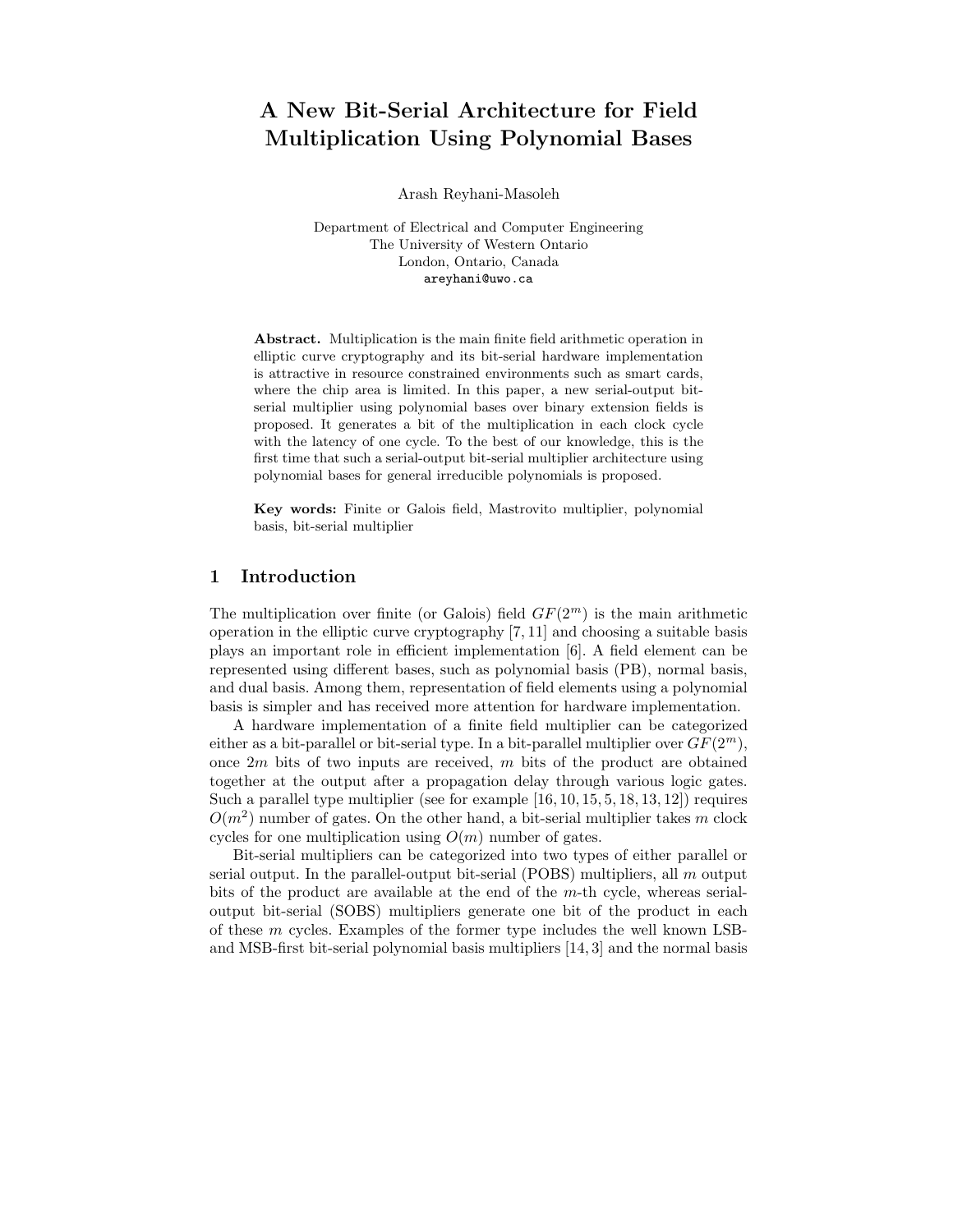# A New Bit-Serial Architecture for Field Multiplication Using Polynomial Bases

Arash Reyhani-Masoleh

Department of Electrical and Computer Engineering The University of Western Ontario London, Ontario, Canada areyhani@uwo.ca

Abstract. Multiplication is the main finite field arithmetic operation in elliptic curve cryptography and its bit-serial hardware implementation is attractive in resource constrained environments such as smart cards, where the chip area is limited. In this paper, a new serial-output bitserial multiplier using polynomial bases over binary extension fields is proposed. It generates a bit of the multiplication in each clock cycle with the latency of one cycle. To the best of our knowledge, this is the first time that such a serial-output bit-serial multiplier architecture using polynomial bases for general irreducible polynomials is proposed.

Key words: Finite or Galois field, Mastrovito multiplier, polynomial basis, bit-serial multiplier

# 1 Introduction

The multiplication over finite (or Galois) field  $GF(2<sup>m</sup>)$  is the main arithmetic operation in the elliptic curve cryptography [7, 11] and choosing a suitable basis plays an important role in efficient implementation [6]. A field element can be represented using different bases, such as polynomial basis (PB), normal basis, and dual basis. Among them, representation of field elements using a polynomial basis is simpler and has received more attention for hardware implementation.

A hardware implementation of a finite field multiplier can be categorized either as a bit-parallel or bit-serial type. In a bit-parallel multiplier over  $GF(2^m)$ , once  $2m$  bits of two inputs are received, m bits of the product are obtained together at the output after a propagation delay through various logic gates. Such a parallel type multiplier (see for example  $[16, 10, 15, 5, 18, 13, 12]$ ) requires  $O(m^2)$  number of gates. On the other hand, a bit-serial multiplier takes m clock cycles for one multiplication using  $O(m)$  number of gates.

Bit-serial multipliers can be categorized into two types of either parallel or serial output. In the parallel-output bit-serial (POBS) multipliers, all  $m$  output bits of the product are available at the end of the  $m$ -th cycle, whereas serialoutput bit-serial (SOBS) multipliers generate one bit of the product in each of these  $m$  cycles. Examples of the former type includes the well known LSBand MSB-first bit-serial polynomial basis multipliers [14, 3] and the normal basis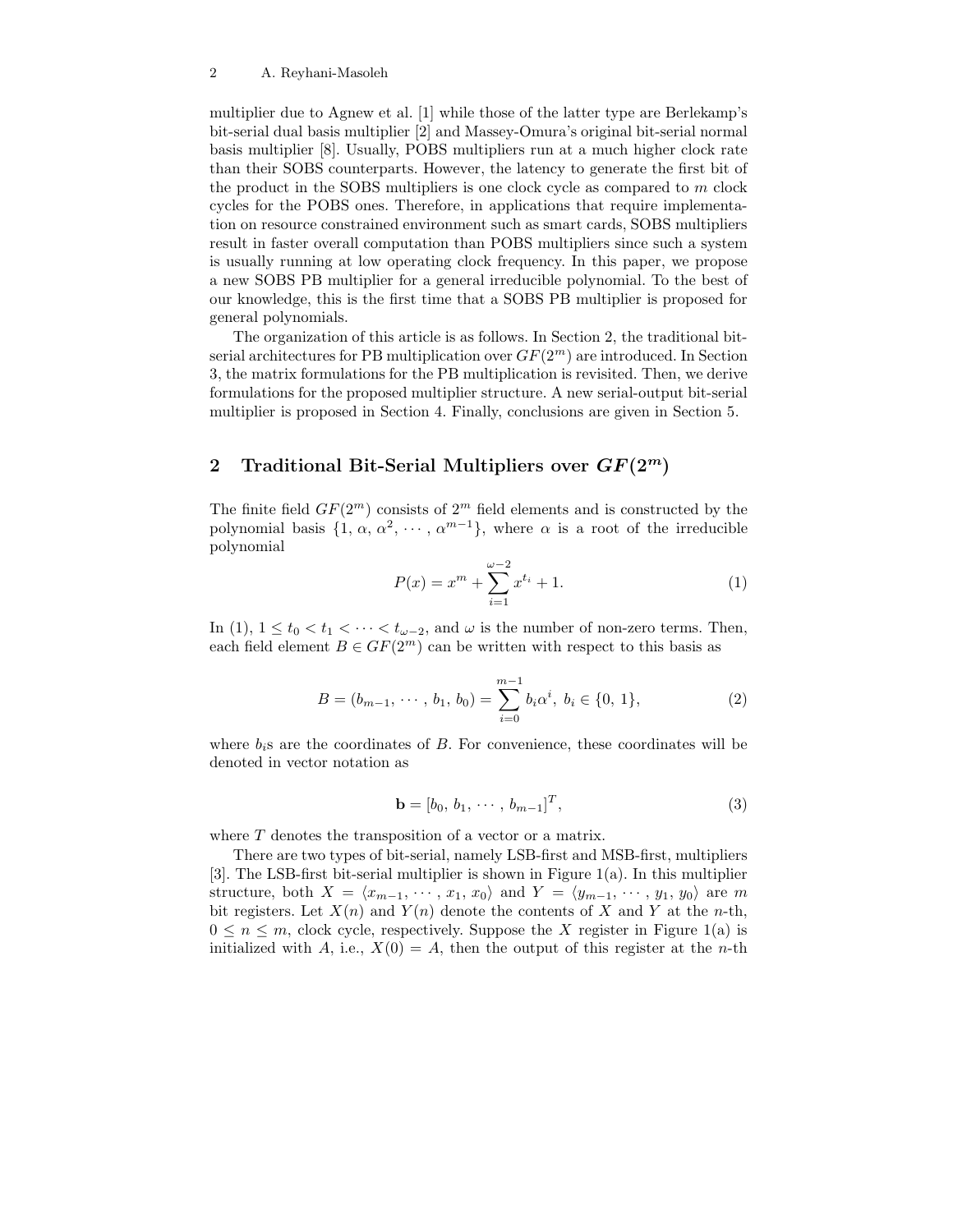multiplier due to Agnew et al. [1] while those of the latter type are Berlekamp's bit-serial dual basis multiplier [2] and Massey-Omura's original bit-serial normal basis multiplier [8]. Usually, POBS multipliers run at a much higher clock rate than their SOBS counterparts. However, the latency to generate the first bit of the product in the SOBS multipliers is one clock cycle as compared to  $m$  clock cycles for the POBS ones. Therefore, in applications that require implementation on resource constrained environment such as smart cards, SOBS multipliers result in faster overall computation than POBS multipliers since such a system is usually running at low operating clock frequency. In this paper, we propose a new SOBS PB multiplier for a general irreducible polynomial. To the best of our knowledge, this is the first time that a SOBS PB multiplier is proposed for general polynomials.

The organization of this article is as follows. In Section 2, the traditional bitserial architectures for PB multiplication over  $GF(2<sup>m</sup>)$  are introduced. In Section 3, the matrix formulations for the PB multiplication is revisited. Then, we derive formulations for the proposed multiplier structure. A new serial-output bit-serial multiplier is proposed in Section 4. Finally, conclusions are given in Section 5.

# 2 Traditional Bit-Serial Multipliers over  $GF(2^m)$

The finite field  $GF(2^m)$  consists of  $2^m$  field elements and is constructed by the polynomial basis  $\{1, \alpha, \alpha^2, \cdots, \alpha^{m-1}\}\$ , where  $\alpha$  is a root of the irreducible polynomial

$$
P(x) = x^{m} + \sum_{i=1}^{\omega - 2} x^{t_i} + 1.
$$
 (1)

In (1),  $1 \le t_0 < t_1 < \cdots < t_{\omega-2}$ , and  $\omega$  is the number of non-zero terms. Then, each field element  $B \in GF(2^m)$  can be written with respect to this basis as

$$
B = (b_{m-1}, \cdots, b_1, b_0) = \sum_{i=0}^{m-1} b_i \alpha^i, b_i \in \{0, 1\},
$$
 (2)

where  $b_i$ s are the coordinates of  $B$ . For convenience, these coordinates will be denoted in vector notation as

$$
\mathbf{b} = [b_0, b_1, \cdots, b_{m-1}]^T, \tag{3}
$$

where T denotes the transposition of a vector or a matrix.

There are two types of bit-serial, namely LSB-first and MSB-first, multipliers [3]. The LSB-first bit-serial multiplier is shown in Figure 1(a). In this multiplier structure, both  $X = \langle x_{m-1}, \cdots, x_1, x_0 \rangle$  and  $Y = \langle y_{m-1}, \cdots, y_1, y_0 \rangle$  are m bit registers. Let  $X(n)$  and  $Y(n)$  denote the contents of X and Y at the n-th,  $0 \leq n \leq m$ , clock cycle, respectively. Suppose the X register in Figure 1(a) is initialized with A, i.e.,  $X(0) = A$ , then the output of this register at the *n*-th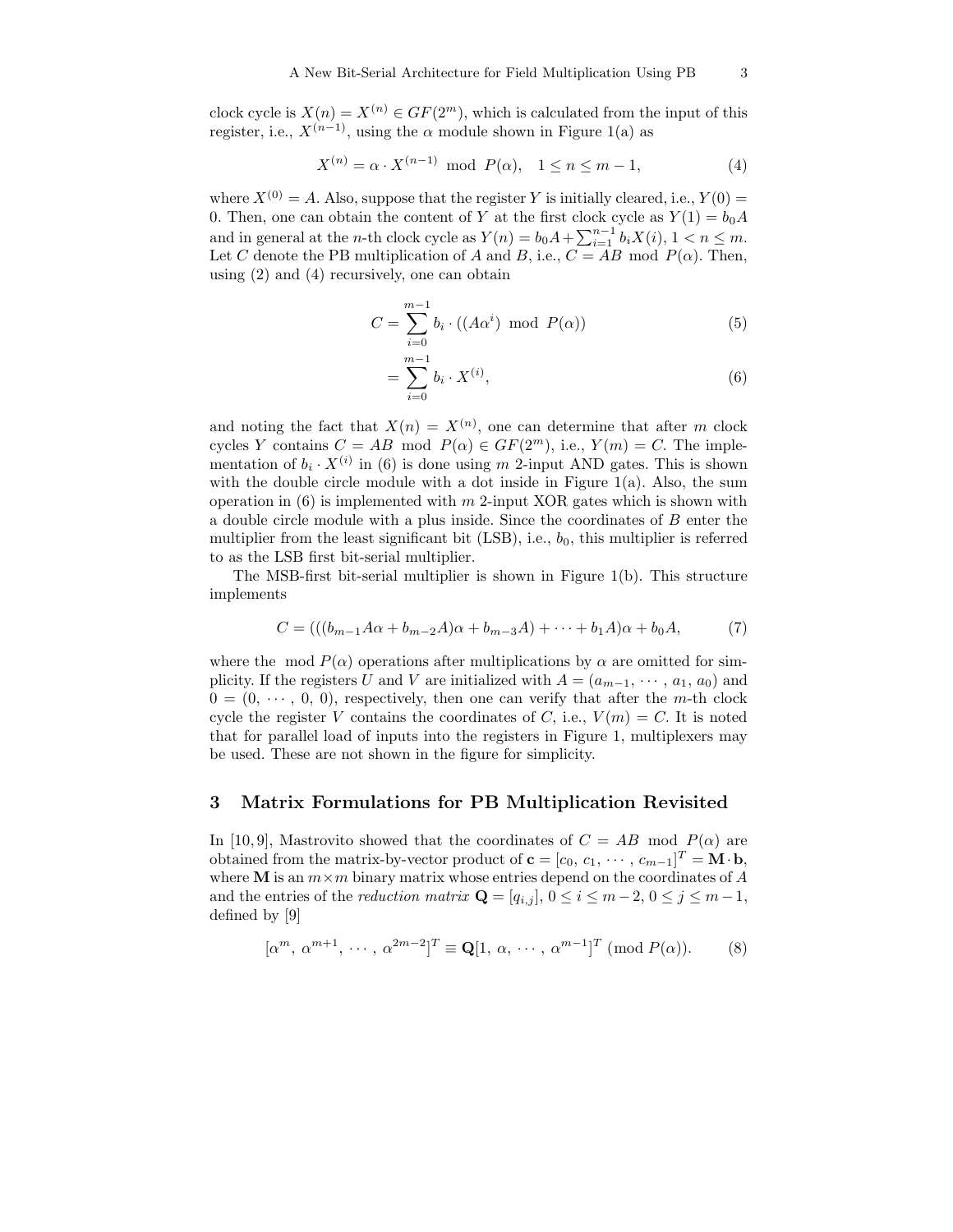clock cycle is  $X(n) = X^{(n)} \in GF(2^m)$ , which is calculated from the input of this register, i.e.,  $X^{(n-1)}$ , using the  $\alpha$  module shown in Figure 1(a) as

$$
X^{(n)} = \alpha \cdot X^{(n-1)} \text{ mod } P(\alpha), \quad 1 \le n \le m - 1,
$$
 (4)

where  $X^{(0)} = A$ . Also, suppose that the register Y is initially cleared, i.e.,  $Y(0) =$ 0. Then, one can obtain the content of Y at the first clock cycle as  $Y(1) = b_0 A$ and in general at the *n*-th clock cycle as  $Y(n) = b_0 A + \sum_{i=1}^{n-1} b_i X(i)$ ,  $1 \lt n \leq m$ . Let C denote the PB multiplication of A and B, i.e.,  $C = AB$  mod  $P(\alpha)$ . Then, using (2) and (4) recursively, one can obtain

$$
C = \sum_{i=0}^{m-1} b_i \cdot ((A\alpha^i) \mod P(\alpha))
$$
 (5)

$$
=\sum_{i=0}^{m-1}b_i \cdot X^{(i)},\tag{6}
$$

and noting the fact that  $X(n) = X^{(n)}$ , one can determine that after m clock cycles Y contains  $C = AB \mod P(\alpha) \in GF(2^m)$ , i.e.,  $Y(m) = C$ . The implementation of  $b_i \cdot X^{(i)}$  in (6) is done using m 2-input AND gates. This is shown with the double circle module with a dot inside in Figure  $1(a)$ . Also, the sum operation in  $(6)$  is implemented with m 2-input XOR gates which is shown with a double circle module with a plus inside. Since the coordinates of B enter the multiplier from the least significant bit  $(LSB)$ , i.e.,  $b_0$ , this multiplier is referred to as the LSB first bit-serial multiplier.

The MSB-first bit-serial multiplier is shown in Figure 1(b). This structure implements

$$
C = (((b_{m-1}A\alpha + b_{m-2}A)\alpha + b_{m-3}A) + \dots + b_1A)\alpha + b_0A, \tag{7}
$$

where the mod  $P(\alpha)$  operations after multiplications by  $\alpha$  are omitted for simplicity. If the registers U and V are initialized with  $A = (a_{m-1}, \dots, a_1, a_0)$  and  $0 = (0, \dots, 0, 0)$ , respectively, then one can verify that after the m-th clock cycle the register V contains the coordinates of C, i.e.,  $V(m) = C$ . It is noted that for parallel load of inputs into the registers in Figure 1, multiplexers may be used. These are not shown in the figure for simplicity.

### 3 Matrix Formulations for PB Multiplication Revisited

In [10,9], Mastrovito showed that the coordinates of  $C = AB$  mod  $P(\alpha)$  are obtained from the matrix-by-vector product of  $\mathbf{c} = [c_0, c_1, \dots, c_{m-1}]^T = \mathbf{M} \cdot \mathbf{b}$ , where **M** is an  $m \times m$  binary matrix whose entries depend on the coordinates of A and the entries of the *reduction matrix*  $\mathbf{Q} = [q_{i,j}], 0 \leq i \leq m-2, 0 \leq j \leq m-1$ , defined by [9]

$$
[\alpha^m, \alpha^{m+1}, \cdots, \alpha^{2m-2}]^T \equiv \mathbf{Q}[1, \alpha, \cdots, \alpha^{m-1}]^T \pmod{P(\alpha)}.
$$
 (8)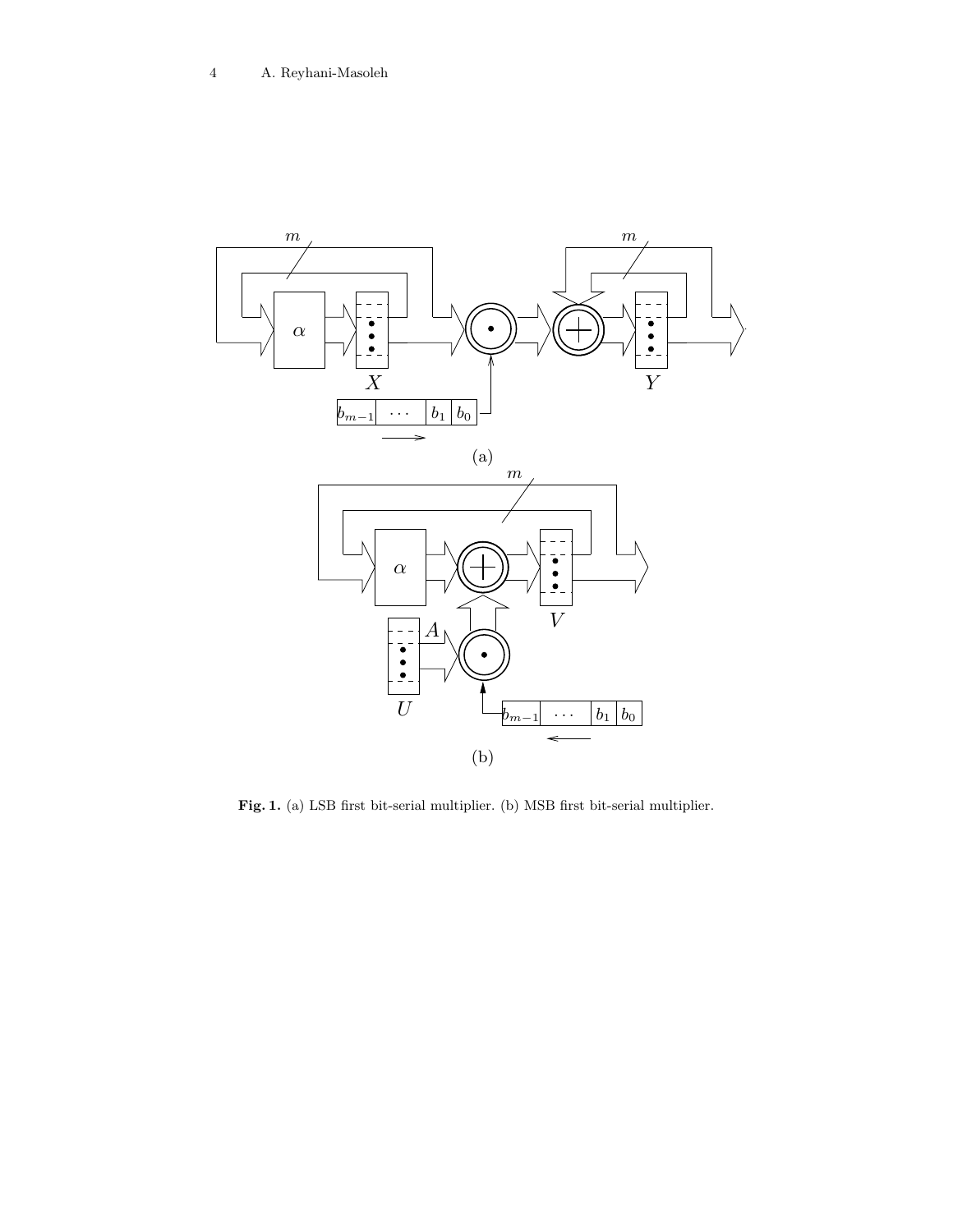

Fig. 1. (a) LSB first bit-serial multiplier. (b) MSB first bit-serial multiplier.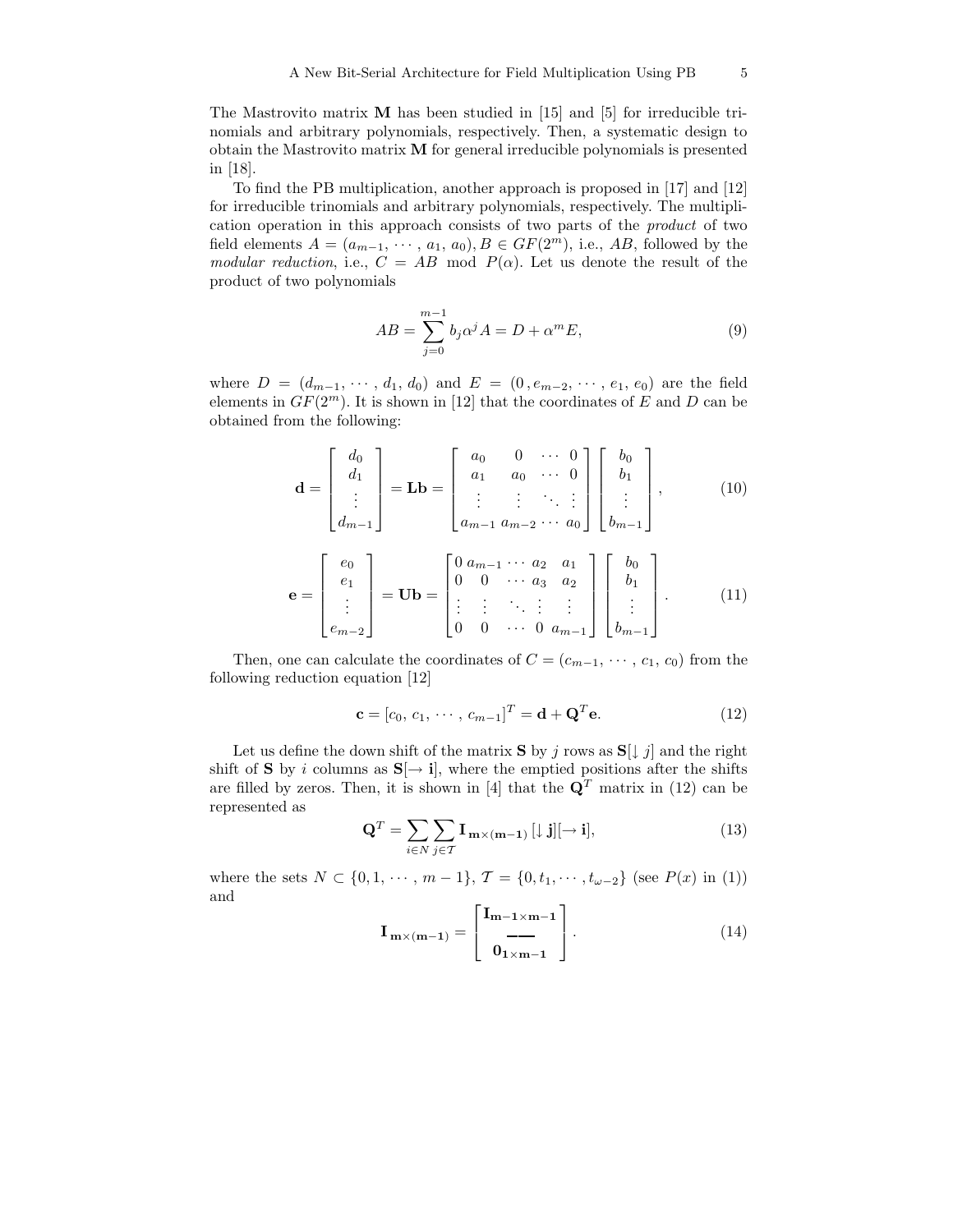The Mastrovito matrix  $\bf{M}$  has been studied in [15] and [5] for irreducible trinomials and arbitrary polynomials, respectively. Then, a systematic design to obtain the Mastrovito matrix M for general irreducible polynomials is presented in [18].

To find the PB multiplication, another approach is proposed in [17] and [12] for irreducible trinomials and arbitrary polynomials, respectively. The multiplication operation in this approach consists of two parts of the product of two field elements  $A = (a_{m-1}, \dots, a_1, a_0), B \in GF(2^m)$ , i.e., AB, followed by the modular reduction, i.e.,  $C = AB$  mod  $P(\alpha)$ . Let us denote the result of the product of two polynomials

$$
AB = \sum_{j=0}^{m-1} b_j \alpha^j A = D + \alpha^m E,
$$
\n(9)

where  $D = (d_{m-1}, \dots, d_1, d_0)$  and  $E = (0, e_{m-2}, \dots, e_1, e_0)$  are the field elements in  $GF(2^m)$ . It is shown in [12] that the coordinates of E and D can be obtained from the following:

$$
\mathbf{d} = \begin{bmatrix} d_0 \\ d_1 \\ \vdots \\ d_{m-1} \end{bmatrix} = \mathbf{L} \mathbf{b} = \begin{bmatrix} a_0 & 0 & \cdots & 0 \\ a_1 & a_0 & \cdots & 0 \\ \vdots & \vdots & \ddots & \vdots \\ a_{m-1} & a_{m-2} & \cdots & a_0 \end{bmatrix} \begin{bmatrix} b_0 \\ b_1 \\ \vdots \\ b_{m-1} \end{bmatrix}, \qquad (10)
$$

$$
\mathbf{e} = \begin{bmatrix} e_0 \\ e_1 \\ \vdots \\ e_{m-2} \end{bmatrix} = \mathbf{U} \mathbf{b} = \begin{bmatrix} 0 & a_{m-1} & \cdots & a_2 & a_1 \\ 0 & 0 & \cdots & a_3 & a_2 \\ \vdots & \vdots & \ddots & \vdots & \vdots \\ 0 & 0 & \cdots & 0 & a_{m-1} \end{bmatrix} \begin{bmatrix} b_0 \\ b_1 \\ \vdots \\ b_{m-1} \end{bmatrix} . \qquad (11)
$$

Then, one can calculate the coordinates of  $C = (c_{m-1}, \dots, c_1, c_0)$  from the following reduction equation [12]

$$
\mathbf{c} = [c_0, c_1, \cdots, c_{m-1}]^T = \mathbf{d} + \mathbf{Q}^T \mathbf{e}.
$$
 (12)

Let us define the down shift of the matrix **S** by j rows as  $S[\downarrow j]$  and the right shift of S by i columns as  $S[\rightarrow i]$ , where the emptied positions after the shifts are filled by zeros. Then, it is shown in [4] that the  $\mathbf{Q}^T$  matrix in (12) can be represented as

$$
\mathbf{Q}^T = \sum_{i \in N} \sum_{j \in \mathcal{T}} \mathbf{I}_{\mathbf{m} \times (\mathbf{m} - \mathbf{1})} \left[ \downarrow \mathbf{j} \right] \left[ \rightarrow \mathbf{i} \right],\tag{13}
$$

where the sets  $N \subset \{0, 1, \cdots, m-1\}, \mathcal{T} = \{0, t_1, \cdots, t_{\omega-2}\}$  (see  $P(x)$  in (1)) and  $\mathbf{r}$  $\overline{a}$ 

$$
\mathbf{I}_{\mathbf{m}\times(\mathbf{m}-1)} = \begin{bmatrix} \mathbf{I}_{\mathbf{m}-1\times\mathbf{m}-1} \\ \mathbf{I}_{\mathbf{m}-1} \\ \mathbf{0}_{1\times\mathbf{m}-1} \end{bmatrix} . \tag{14}
$$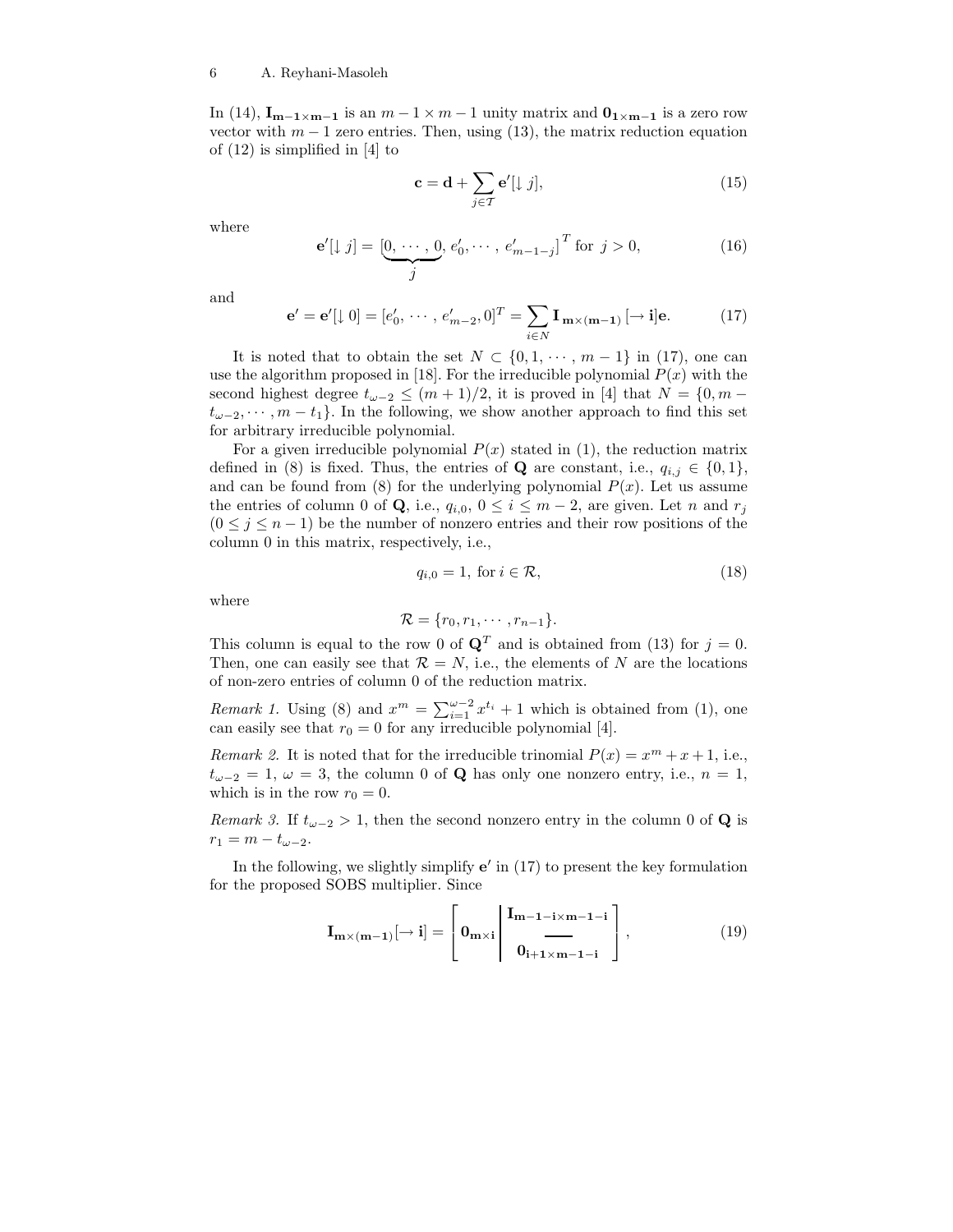In (14),  $\mathbf{I}_{m-1 \times m-1}$  is an  $m-1 \times m-1$  unity matrix and  $\mathbf{0}_{1 \times m-1}$  is a zero row vector with  $m-1$  zero entries. Then, using (13), the matrix reduction equation of (12) is simplified in [4] to

$$
\mathbf{c} = \mathbf{d} + \sum_{j \in \mathcal{T}} \mathbf{e}'[\downarrow j],\tag{15}
$$

where

$$
\mathbf{e}'[\downarrow j] = \underbrace{[0, \cdots, 0}_{j}, e'_0, \cdots, e'_{m-1-j}]^T \text{ for } j > 0,
$$
\n(16)

and

$$
\mathbf{e}' = \mathbf{e}'[\downarrow 0] = [e'_0, \cdots, e'_{m-2}, 0]^T = \sum_{i \in N} \mathbf{I}_{m \times (m-1)} [\rightarrow \mathbf{i}] \mathbf{e}.
$$
 (17)

It is noted that to obtain the set  $N \subset \{0, 1, \dots, m-1\}$  in (17), one can use the algorithm proposed in [18]. For the irreducible polynomial  $P(x)$  with the second highest degree  $t_{\omega-2} \leq (m+1)/2$ , it is proved in [4] that  $N = \{0, m$  $t_{\omega-2}, \dots, m-t_1$ . In the following, we show another approach to find this set for arbitrary irreducible polynomial.

For a given irreducible polynomial  $P(x)$  stated in (1), the reduction matrix defined in (8) is fixed. Thus, the entries of **Q** are constant, i.e.,  $q_{i,j} \in \{0,1\}$ , and can be found from (8) for the underlying polynomial  $P(x)$ . Let us assume the entries of column 0 of Q, i.e.,  $q_{i,0}$ ,  $0 \le i \le m-2$ , are given. Let n and  $r_i$  $(0 \leq j \leq n-1)$  be the number of nonzero entries and their row positions of the column 0 in this matrix, respectively, i.e.,

$$
q_{i,0} = 1, \text{ for } i \in \mathcal{R},\tag{18}
$$

where

$$
\mathcal{R} = \{r_0, r_1, \cdots, r_{n-1}\}.
$$

This column is equal to the row 0 of  $\mathbf{Q}^T$  and is obtained from (13) for  $j = 0$ . Then, one can easily see that  $\mathcal{R} = N$ , i.e., the elements of N are the locations of non-zero entries of column 0 of the reduction matrix.

*Remark 1*. Using (8) and  $x^m = \sum_{i=1}^{\omega-2} x^{t_i} + 1$  which is obtained from (1), one can easily see that  $r_0 = 0$  for any irreducible polynomial [4].

Remark 2. It is noted that for the irreducible trinomial  $P(x) = x^m + x + 1$ , i.e.,  $t_{\omega-2} = 1, \omega = 3$ , the column 0 of Q has only one nonzero entry, i.e.,  $n = 1$ , which is in the row  $r_0 = 0$ .

Remark 3. If  $t_{\omega-2} > 1$ , then the second nonzero entry in the column 0 of Q is  $r_1 = m - t_{\omega - 2}.$ 

In the following, we slightly simplify  $e'$  in  $(17)$  to present the key formulation for the proposed SOBS multiplier. Since

$$
\mathbf{I}_{\mathbf{m}\times(\mathbf{m}-1)}[\rightarrow \mathbf{i}] = \begin{bmatrix} \mathbf{0}_{\mathbf{m}\times\mathbf{i}} & \mathbf{I}_{\mathbf{m}-1-\mathbf{i}\times\mathbf{m}-1-\mathbf{i}} \\ \mathbf{0}_{\mathbf{i}+1\times\mathbf{m}-1-\mathbf{i}} & \mathbf{0}_{\mathbf{i}+1\times\mathbf{m}-1-\mathbf{i}} \end{bmatrix},\tag{19}
$$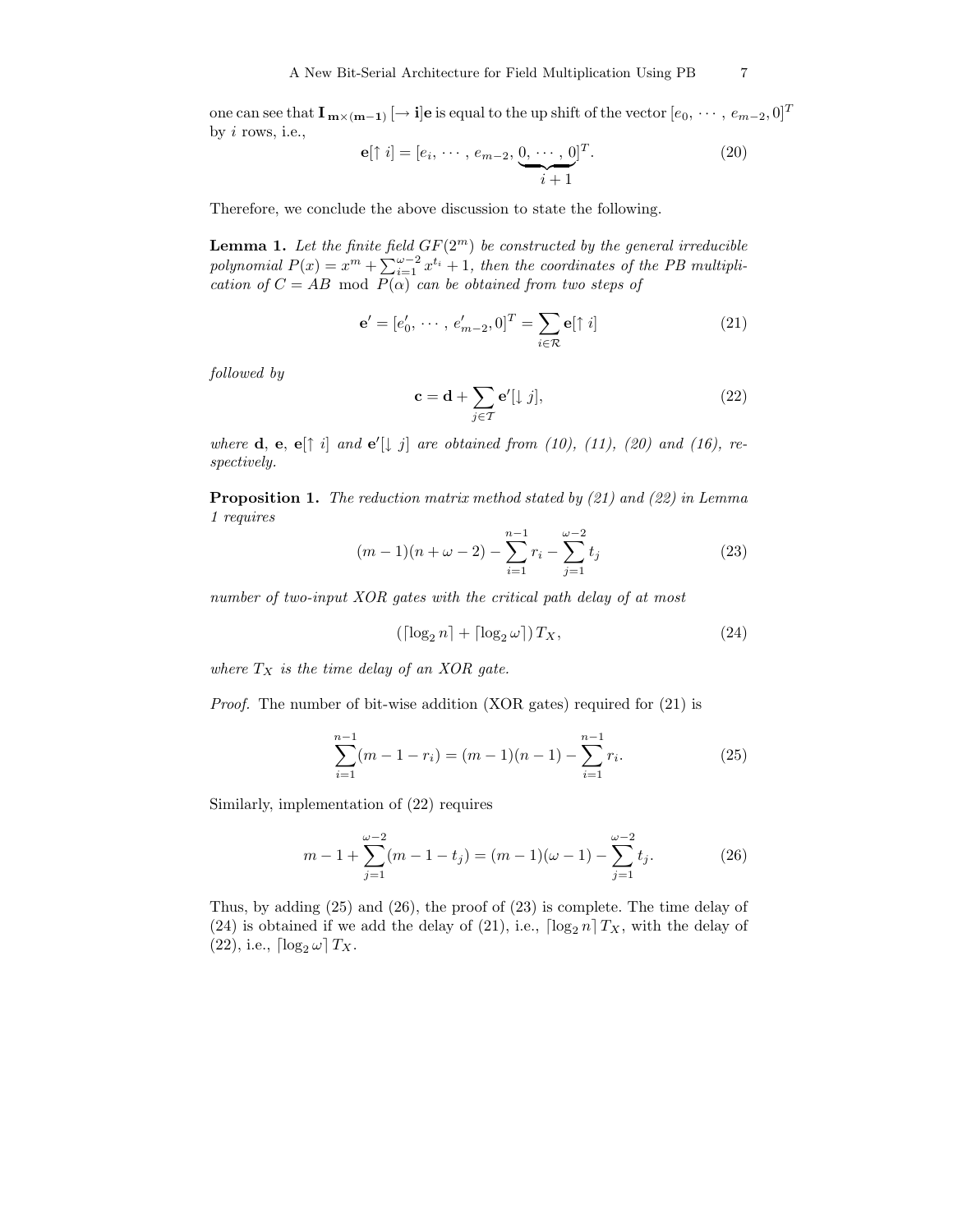one can see that  $\mathbf{I_{m\times (m-1)}}$   $[ \to {\bf i}]$ e is equal to the up shift of the vector  $[e_0,\,\cdots,\,e_{m-2},0]^T$ by i rows, i.e.,

$$
\mathbf{e}[\uparrow i] = [e_i, \cdots, e_{m-2}, \underbrace{0, \cdots, 0}_{i+1}]^T. \tag{20}
$$

Therefore, we conclude the above discussion to state the following.

**Lemma 1.** Let the finite field  $GF(2^m)$  be constructed by the general irreducible polynomial  $P(x) = x^m + \sum_{i=1}^{\omega-2} x^{t_i} + 1$ , then the coordinates of the PB multiplication of  $C = AB \mod P(\alpha)$  can be obtained from two steps of

$$
\mathbf{e}' = [e'_0, \cdots, e'_{m-2}, 0]^T = \sum_{i \in \mathcal{R}} \mathbf{e}[\uparrow i] \tag{21}
$$

followed by

$$
\mathbf{c} = \mathbf{d} + \sum_{j \in \mathcal{T}} \mathbf{e}'[\downarrow j],\tag{22}
$$

where **d**, **e**, **e** $\lceil \dagger i \rceil$  and **e**<sup> $\lceil \dagger j \rceil$  are obtained from (10), (11), (20) and (16), re-</sup> spectively.

Proposition 1. The reduction matrix method stated by (21) and (22) in Lemma 1 requires

$$
(m-1)(n+\omega-2) - \sum_{i=1}^{n-1} r_i - \sum_{j=1}^{\omega-2} t_j
$$
 (23)

number of two-input XOR gates with the critical path delay of at most

$$
\left(\lceil \log_2 n \rceil + \lceil \log_2 \omega \rceil\right) T_X,\tag{24}
$$

where  $T_X$  is the time delay of an XOR gate.

Proof. The number of bit-wise addition (XOR gates) required for (21) is

$$
\sum_{i=1}^{n-1} (m-1-r_i) = (m-1)(n-1) - \sum_{i=1}^{n-1} r_i.
$$
 (25)

Similarly, implementation of (22) requires

$$
m-1+\sum_{j=1}^{\omega-2}(m-1-t_j)=(m-1)(\omega-1)-\sum_{j=1}^{\omega-2}t_j.
$$
 (26)

Thus, by adding (25) and (26), the proof of (23) is complete. The time delay of (24) is obtained if we add the delay of (21), i.e.,  $\lceil \log_2 n \rceil T_X$ , with the delay of (22), i.e.,  $\lceil \log_2 \omega \rceil T_X$ .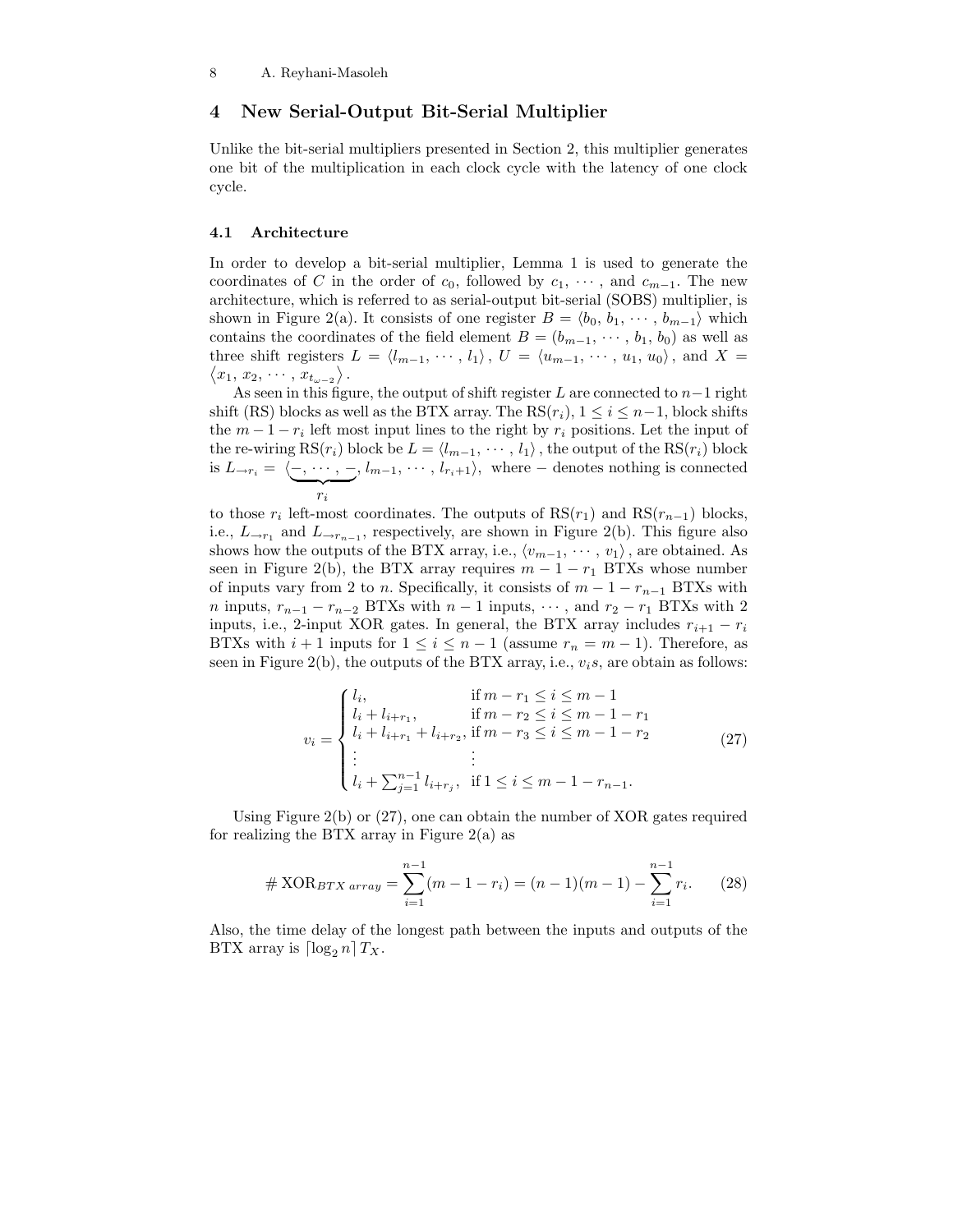# 4 New Serial-Output Bit-Serial Multiplier

Unlike the bit-serial multipliers presented in Section 2, this multiplier generates one bit of the multiplication in each clock cycle with the latency of one clock cycle.

#### 4.1 Architecture

In order to develop a bit-serial multiplier, Lemma 1 is used to generate the coordinates of C in the order of  $c_0$ , followed by  $c_1, \dots,$  and  $c_{m-1}$ . The new architecture, which is referred to as serial-output bit-serial (SOBS) multiplier, is shown in Figure 2(a). It consists of one register  $B = \langle b_0, b_1, \cdots, b_{m-1} \rangle$  which contains the coordinates of the field element  $B = (b_{m-1}, \dots, b_1, b_0)$  as well as three shift registers  $L = \langle l_{m-1}, \cdots, l_1 \rangle$ ,  $U = \langle u_{m-1}, \cdots, u_1, u_0 \rangle$ , and  $X =$  $\langle x_1, x_2, \cdots, x_{t_{\omega-2}} \rangle$ .

As seen in this figure, the output of shift register L are connected to  $n-1$  right shift (RS) blocks as well as the BTX array. The  $RS(r_i)$ ,  $1 \leq i \leq n-1$ , block shifts the  $m-1-r_i$  left most input lines to the right by  $r_i$  positions. Let the input of the re-wiring RS( $r_i$ ) block be  $L = \langle l_{m-1}, \cdots, l_1 \rangle$ , the output of the RS( $r_i$ ) block is  $L_{\rightarrow r_i} = \langle -, \cdots, -, l_{m-1}, \cdots, l_{r_i+1} \rangle$ , where – denotes nothing is connected  $\sum_{x}$ ri

to those  $r_i$  left-most coordinates. The outputs of  $RS(r_1)$  and  $RS(r_{n-1})$  blocks, i.e.,  $L_{\rightarrow r_1}$  and  $L_{\rightarrow r_{n-1}}$ , respectively, are shown in Figure 2(b). This figure also shows how the outputs of the BTX array, i.e.,  $\langle v_{m-1}, \cdots, v_1 \rangle$ , are obtained. As seen in Figure 2(b), the BTX array requires  $m - 1 - r_1$  BTXs whose number of inputs vary from 2 to n. Specifically, it consists of  $m - 1 - r_{n-1}$  BTXs with *n* inputs,  $r_{n-1} - r_{n-2}$  BTXs with  $n-1$  inputs,  $\cdots$ , and  $r_2 - r_1$  BTXs with 2 inputs, i.e., 2-input XOR gates. In general, the BTX array includes  $r_{i+1} - r_i$ BTXs with  $i + 1$  inputs for  $1 \leq i \leq n - 1$  (assume  $r_n = m - 1$ ). Therefore, as seen in Figure 2(b), the outputs of the BTX array, i.e.,  $v_i$ s, are obtain as follows:

$$
v_{i} = \begin{cases} l_{i}, & \text{if } m - r_{1} \leq i \leq m - 1 \\ l_{i} + l_{i+r_{1}}, & \text{if } m - r_{2} \leq i \leq m - 1 - r_{1} \\ l_{i} + l_{i+r_{1}} + l_{i+r_{2}}, & \text{if } m - r_{3} \leq i \leq m - 1 - r_{2} \\ \vdots & \vdots \\ l_{i} + \sum_{j=1}^{n-1} l_{i+r_{j}}, & \text{if } 1 \leq i \leq m - 1 - r_{n-1}. \end{cases} \tag{27}
$$

Using Figure 2(b) or (27), one can obtain the number of XOR gates required for realizing the BTX array in Figure  $2(a)$  as

$$
\#\text{XOR}_{BTX\,array} = \sum_{i=1}^{n-1} (m-1-r_i) = (n-1)(m-1) - \sum_{i=1}^{n-1} r_i. \tag{28}
$$

Also, the time delay of the longest path between the inputs and outputs of the BTX array is  $\lceil \log_2 n \rceil T_X$ .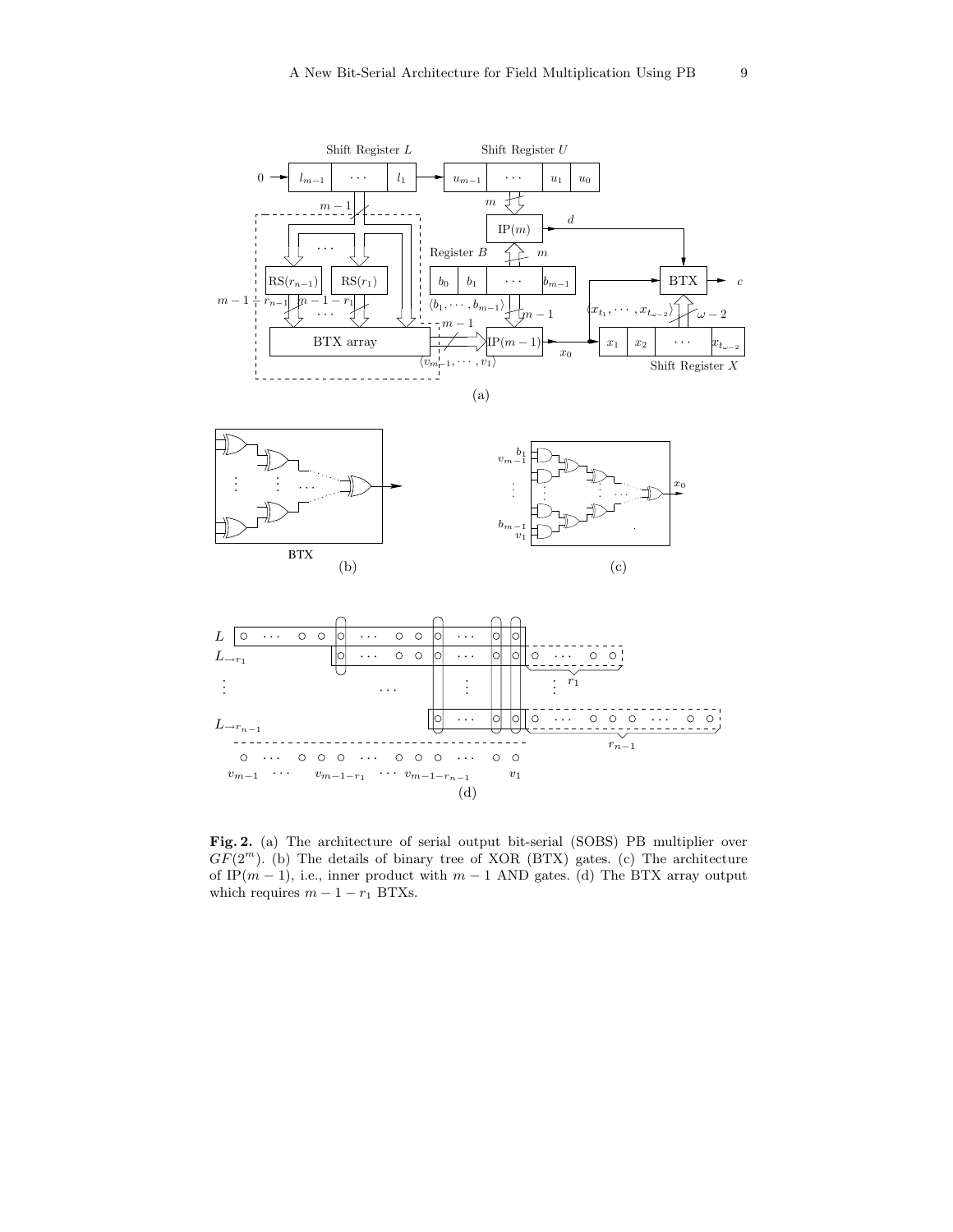

Fig. 2. (a) The architecture of serial output bit-serial (SOBS) PB multiplier over  $GF(2<sup>m</sup>)$ . (b) The details of binary tree of XOR (BTX) gates. (c) The architecture of IP $(m - 1)$ , i.e., inner product with  $m - 1$  AND gates. (d) The BTX array output which requires  $m - 1 - r_1$  BTXs.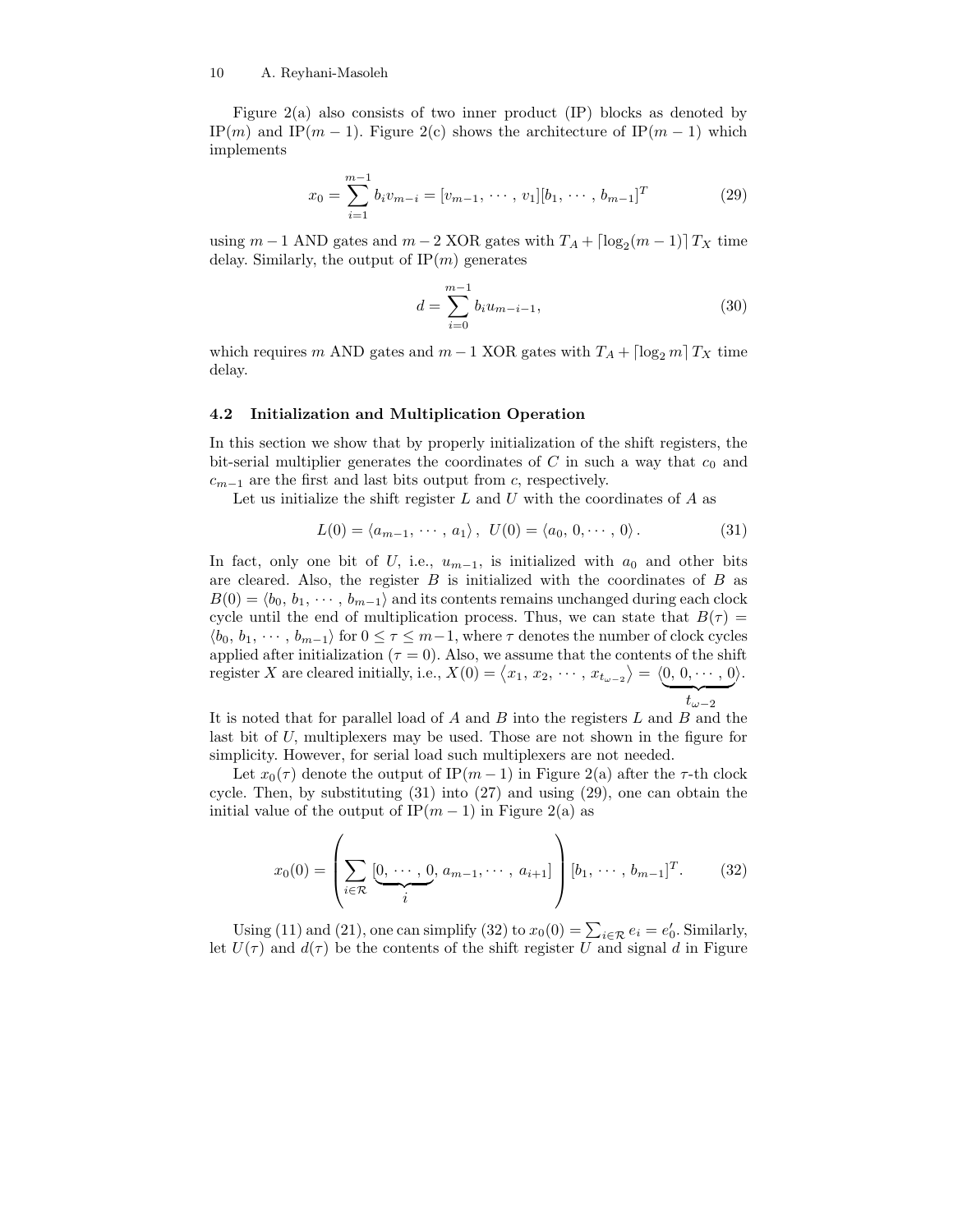Figure 2(a) also consists of two inner product (IP) blocks as denoted by IP(m) and IP(m − 1). Figure 2(c) shows the architecture of IP(m − 1) which implements

$$
x_0 = \sum_{i=1}^{m-1} b_i v_{m-i} = [v_{m-1}, \cdots, v_1][b_1, \cdots, b_{m-1}]^T
$$
 (29)

using  $m - 1$  AND gates and  $m - 2$  XOR gates with  $T_A + \lceil \log_2(m - 1) \rceil T_X$  time delay. Similarly, the output of  $IP(m)$  generates

$$
d = \sum_{i=0}^{m-1} b_i u_{m-i-1},
$$
\n(30)

which requires m AND gates and  $m-1$  XOR gates with  $T_A + \lfloor \log_2 m \rfloor T_X$  time delay.

#### 4.2 Initialization and Multiplication Operation

In this section we show that by properly initialization of the shift registers, the bit-serial multiplier generates the coordinates of  $C$  in such a way that  $c_0$  and  $c_{m-1}$  are the first and last bits output from c, respectively.

Let us initialize the shift register  $L$  and  $U$  with the coordinates of  $A$  as

$$
L(0) = \langle a_{m-1}, \cdots, a_1 \rangle, \ U(0) = \langle a_0, 0, \cdots, 0 \rangle.
$$
 (31)

In fact, only one bit of U, i.e.,  $u_{m-1}$ , is initialized with  $a_0$  and other bits are cleared. Also, the register  $B$  is initialized with the coordinates of  $B$  as  $B(0) = \langle b_0, b_1, \cdots, b_{m-1} \rangle$  and its contents remains unchanged during each clock cycle until the end of multiplication process. Thus, we can state that  $B(\tau) =$  $\langle b_0, b_1, \cdots, b_{m-1} \rangle$  for  $0 \leq \tau \leq m-1$ , where  $\tau$  denotes the number of clock cycles applied after initialization ( $\tau = 0$ ). Also, we assume that the contents of the shift register X are cleared initially, i.e.,  $X(0) = \langle x_1, x_2, \cdots, x_{t_{\omega-2}} \rangle = \langle 0, 0, \cdots, 0 \rangle$ .  $t_{\omega-2}$ 

It is noted that for parallel load of  $A$  and  $B$  into the registers  $L$  and  $B$  and the last bit of U, multiplexers may be used. Those are not shown in the figure for simplicity. However, for serial load such multiplexers are not needed.

Let  $x_0(\tau)$  denote the output of IP $(m-1)$  in Figure 2(a) after the  $\tau$ -th clock cycle. Then, by substituting (31) into (27) and using (29), one can obtain the initial value of the output of IP $(m-1)$  in Figure 2(a) as

$$
x_0(0) = \left(\sum_{i \in \mathcal{R}} \underbrace{[0, \cdots, 0}_{i}, a_{m-1}, \cdots, a_{i+1}]}_{i}\right) [b_1, \cdots, b_{m-1}]^T. \tag{32}
$$

Using (11) and (21), one can simplify (32) to  $x_0(0) = \sum_{i \in \mathcal{R}} e_i = e'_0$ . Similarly, let  $U(\tau)$  and  $d(\tau)$  be the contents of the shift register U and signal d in Figure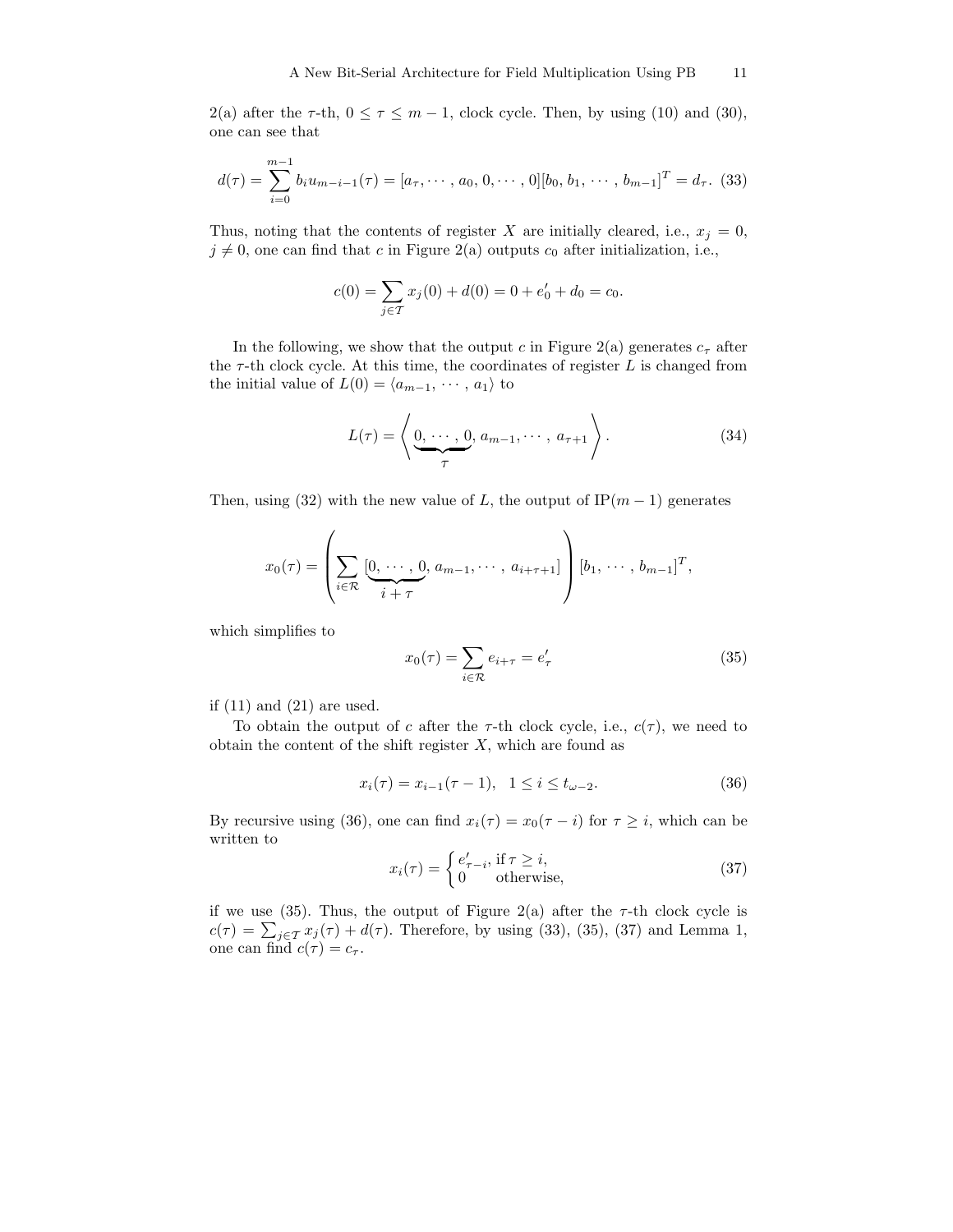2(a) after the  $\tau$ -th,  $0 \le \tau \le m - 1$ , clock cycle. Then, by using (10) and (30), one can see that

$$
d(\tau) = \sum_{i=0}^{m-1} b_i u_{m-i-1}(\tau) = [a_{\tau}, \cdots, a_0, 0, \cdots, 0][b_0, b_1, \cdots, b_{m-1}]^T = d_{\tau}.
$$
 (33)

Thus, noting that the contents of register X are initially cleared, i.e.,  $x_j = 0$ ,  $j \neq 0$ , one can find that c in Figure 2(a) outputs  $c_0$  after initialization, i.e.,

$$
c(0) = \sum_{j \in \mathcal{T}} x_j(0) + d(0) = 0 + e'_0 + d_0 = c_0.
$$

In the following, we show that the output c in Figure 2(a) generates  $c_{\tau}$  after the  $\tau$ -th clock cycle. At this time, the coordinates of register L is changed from the initial value of  $L(0) = \langle a_{m-1}, \cdots, a_1 \rangle$  to

$$
L(\tau) = \left\langle \underbrace{0, \cdots, 0}_{\tau}, a_{m-1}, \cdots, a_{\tau+1} \right\rangle. \tag{34}
$$

Then, using (32) with the new value of L, the output of  $IP(m-1)$  generates

$$
x_0(\tau) = \left(\sum_{i \in \mathcal{R}} \underbrace{[0, \cdots, 0]}_{i + \tau}, a_{m-1}, \cdots, a_{i+\tau+1}]\right) [b_1, \cdots, b_{m-1}]^T,
$$

which simplifies to

$$
x_0(\tau) = \sum_{i \in \mathcal{R}} e_{i+\tau} = e'_\tau \tag{35}
$$

if (11) and (21) are used.

To obtain the output of c after the  $\tau$ -th clock cycle, i.e.,  $c(\tau)$ , we need to obtain the content of the shift register  $X$ , which are found as

$$
x_i(\tau) = x_{i-1}(\tau - 1), \quad 1 \le i \le t_{\omega - 2}.\tag{36}
$$

By recursive using (36), one can find  $x_i(\tau) = x_0(\tau - i)$  for  $\tau \geq i$ , which can be written to

$$
x_i(\tau) = \begin{cases} e'_{\tau-i}, & \text{if } \tau \ge i, \\ 0 & \text{otherwise,} \end{cases}
$$
 (37)

if we use (35). Thus, the output of Figure 2(a) after the  $\tau$ -th clock cycle is  $c(\tau) = \sum_{j \in \mathcal{T}} x_j(\tau) + d(\tau)$ . Therefore, by using (33), (35), (37) and Lemma 1, one can find  $c(\tau) = c_{\tau}$ .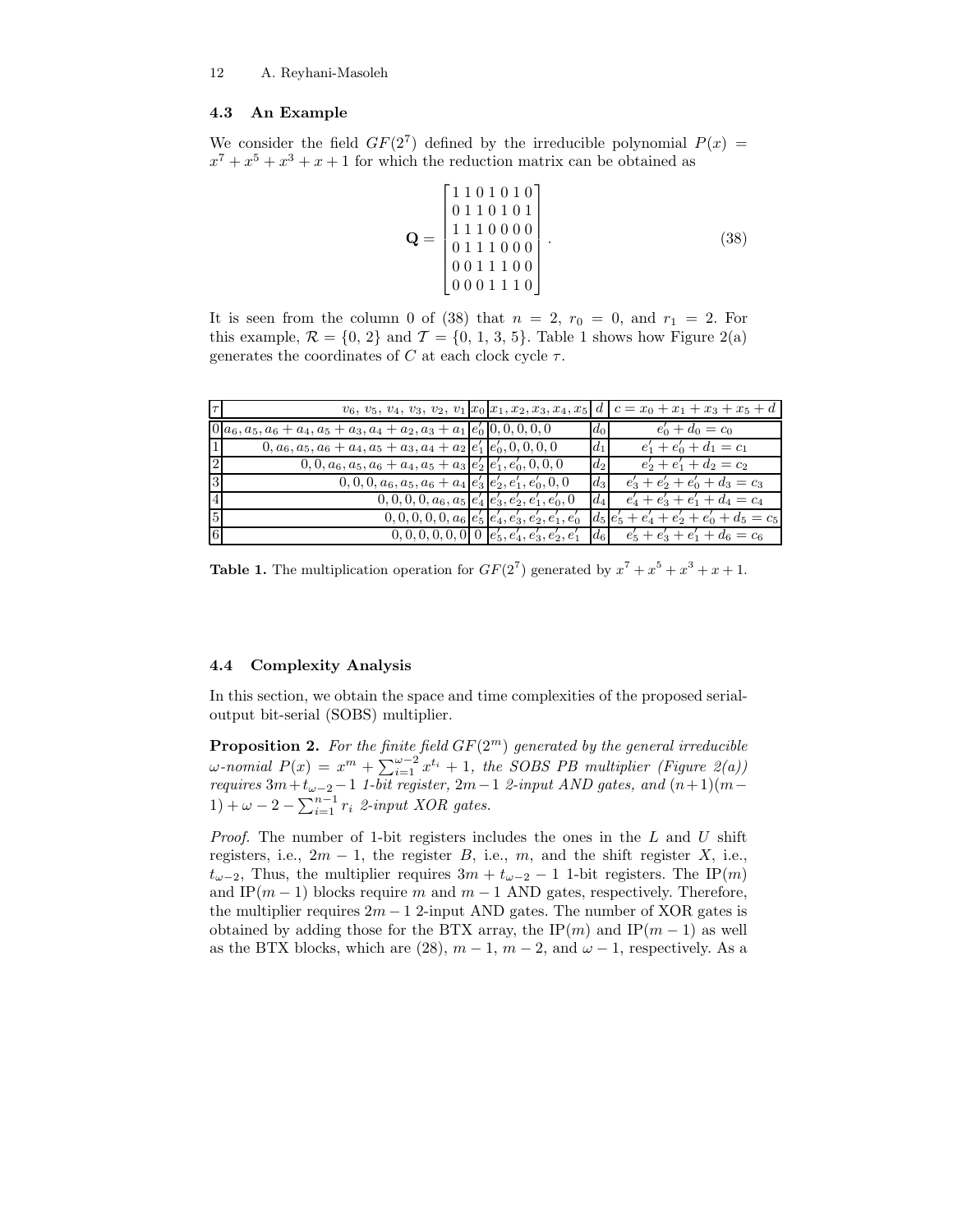### 4.3 An Example

We consider the field  $GF(2^7)$  defined by the irreducible polynomial  $P(x) =$  $x^7 + x^5 + x^3 + x + 1$  for which the reduction matrix can be obtained as

$$
\mathbf{Q} = \begin{bmatrix} 1 & 1 & 0 & 1 & 0 & 1 & 0 \\ 0 & 1 & 1 & 0 & 1 & 0 & 1 \\ 1 & 1 & 1 & 0 & 0 & 0 & 0 \\ 0 & 1 & 1 & 1 & 0 & 0 & 0 \\ 0 & 0 & 1 & 1 & 1 & 0 & 0 \\ 0 & 0 & 0 & 1 & 1 & 1 & 0 \end{bmatrix} . \tag{38}
$$

It is seen from the column 0 of (38) that  $n = 2$ ,  $r_0 = 0$ , and  $r_1 = 2$ . For this example,  $\mathcal{R} = \{0, 2\}$  and  $\mathcal{T} = \{0, 1, 3, 5\}$ . Table 1 shows how Figure 2(a) generates the coordinates of C at each clock cycle  $\tau$ .

|                 |                                                                             |  |         | $v_6, v_5, v_4, v_3, v_2, v_1   x_0   x_1, x_2, x_3, x_4, x_5   d   c = x_0 + x_1 + x_3 + x_5 + d$ |
|-----------------|-----------------------------------------------------------------------------|--|---------|----------------------------------------------------------------------------------------------------|
|                 | $0 a_6, a_5, a_6 + a_4, a_5 + a_3, a_4 + a_2, a_3 + a_1 e'_0 0, 0, 0, 0, 0$ |  | $d_0$   | $e'_0 + d_0 = c_0$                                                                                 |
| 11              | $0, a_6, a_5, a_6 + a_4, a_5 + a_3, a_4 + a_2  e'_1 e'_0, 0, 0, 0, 0$       |  | $d_1$   | $e'_1 + e'_0 + d_1 = c_1$                                                                          |
| $\sqrt{2}$      | $[0, 0, a_6, a_5, a_6 + a_4, a_5 + a_3]e'_2[e'_1, e'_0, 0, 0, 0]$           |  | $d_2$   | $e'_2 + e'_1 + d_2 = c_2$                                                                          |
| 3               | $\boxed{0,0,0,a_6,a_5,a_6+a_4 e'_3 e'_2,e'_1,e'_0,0,0}$                     |  | $d_{3}$ | $e'_3 + e'_2 + e'_0 + d_3 = c_3$                                                                   |
|                 | $[0, 0, 0, 0, a_6, a_5]e'_4[e'_3, e'_2, e'_1, e'_0, 0]$                     |  |         | $ d_4 $ $e'_4+e'_3+e'_1+d_4=c_4$                                                                   |
| $5\overline{)}$ |                                                                             |  |         | $[0, 0, 0, 0, 0, a_6]e'_5[e'_4, e'_3, e'_2, e'_1, e'_0]d_5[e'_5 + e'_4 + e'_2 + e'_0 + d_5 = c_5]$ |
|                 |                                                                             |  |         | $[0, 0, 0, 0, 0, 0]$ $[0   e'_5, e'_4, e'_3, e'_2, e'_1   d_6   e'_5 + e'_3 + e'_1 + d_6 = c_6]$   |

**Table 1.** The multiplication operation for  $GF(2^7)$  generated by  $x^7 + x^5 + x^3 + x + 1$ .

### 4.4 Complexity Analysis

In this section, we obtain the space and time complexities of the proposed serialoutput bit-serial (SOBS) multiplier.

**Proposition 2.** For the finite field  $GF(2^m)$  generated by the general irreducible  $\omega$ -nomial  $P(x) = x^m + \sum_{i=1}^{\omega-2} x^{t_i} + 1$ , the SOBS PB multiplier (Figure 2(a)) requires  $3m+t_{\omega-2}-1$  1-bit register,  $2m-1$  2-input AND gates, and  $(n+1)(m-1)$ 1) +  $\omega$  – 2 –  $\sum_{i=1}^{n-1} r_i$  2-input XOR gates.

*Proof.* The number of 1-bit registers includes the ones in the  $L$  and  $U$  shift registers, i.e.,  $2m - 1$ , the register B, i.e., m, and the shift register X, i.e.,  $t_{\omega-2}$ , Thus, the multiplier requires  $3m + t_{\omega-2} - 1$  1-bit registers. The IP(m) and IP $(m-1)$  blocks require m and  $m-1$  AND gates, respectively. Therefore, the multiplier requires  $2m - 1$  2-input AND gates. The number of XOR gates is obtained by adding those for the BTX array, the IP $(m)$  and IP $(m - 1)$  as well as the BTX blocks, which are (28),  $m-1$ ,  $m-2$ , and  $\omega-1$ , respectively. As a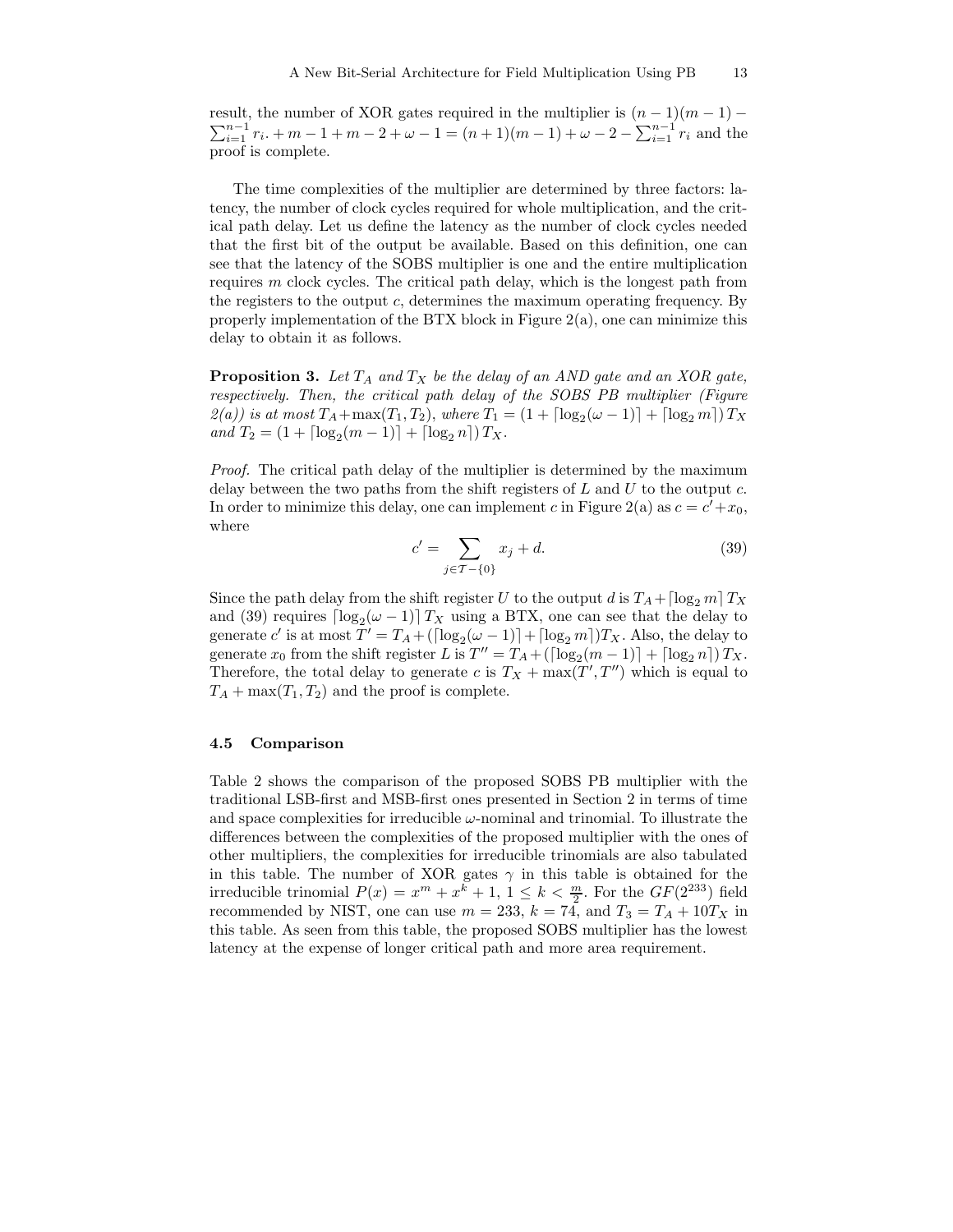result, the number of XOR gates required in the multiplier is  $(n-1)(m-1)$  –  $\sum_{i=1}^{n-1} r_i + m - 1 + m - 2 + \omega - 1 = (n+1)(m-1) + \omega - 2 - \sum_{i=1}^{n-1} r_i$  and the proof is complete.

The time complexities of the multiplier are determined by three factors: latency, the number of clock cycles required for whole multiplication, and the critical path delay. Let us define the latency as the number of clock cycles needed that the first bit of the output be available. Based on this definition, one can see that the latency of the SOBS multiplier is one and the entire multiplication requires  $m$  clock cycles. The critical path delay, which is the longest path from the registers to the output  $c$ , determines the maximum operating frequency. By properly implementation of the BTX block in Figure 2(a), one can minimize this delay to obtain it as follows.

**Proposition 3.** Let  $T_A$  and  $T_X$  be the delay of an AND gate and an XOR gate, respectively. Then, the critical path delay of the SOBS PB multiplier (Figure  $\mathcal{Z}(a)$ ) is at most  $T_A + \max(T_1, T_2)$ , where  $T_1 = (1 + \lceil \log_2(\omega - 1) \rceil + \lceil \log_2 m \rceil) T_X$ and  $T_2 = (1 + \lceil \log_2(m-1) \rceil + \lceil \log_2 n \rceil) T_X$ .

Proof. The critical path delay of the multiplier is determined by the maximum delay between the two paths from the shift registers of  $L$  and  $U$  to the output  $c$ . In order to minimize this delay, one can implement c in Figure 2(a) as  $c = c' + x_0$ , where

$$
c' = \sum_{j \in \mathcal{T} - \{0\}} x_j + d. \tag{39}
$$

Since the path delay from the shift register U to the output d is  $T_A + \lceil \log_2 m \rceil T_X$ and (39) requires  $\lceil \log_2(\omega - 1) \rceil T_X$  using a BTX, one can see that the delay to generate  $c'$  is at most  $T' = T_A + (\lceil \log_2(\omega - 1) \rceil + \lceil \log_2 m \rceil) T_X$ . Also, the delay to generate  $x_0$  from the shift register L is  $T'' = T_A + (\lceil \log_2(m-1) \rceil + \lceil \log_2 n \rceil) T_X$ . Therefore, the total delay to generate c is  $T_X + \max(T', T'')$  which is equal to  $T_A + \max(T_1, T_2)$  and the proof is complete.

### 4.5 Comparison

Table 2 shows the comparison of the proposed SOBS PB multiplier with the traditional LSB-first and MSB-first ones presented in Section 2 in terms of time and space complexities for irreducible  $\omega$ -nominal and trinomial. To illustrate the differences between the complexities of the proposed multiplier with the ones of other multipliers, the complexities for irreducible trinomials are also tabulated in this table. The number of XOR gates  $\gamma$  in this table is obtained for the irreducible trinomial  $P(x) = x^m + x^k + 1$ ,  $1 \leq k < \frac{m}{2}$ . For the  $GF(2^{233})$  field recommended by NIST, one can use  $m = 233$ ,  $k = 74$ , and  $T_3 = T_A + 10T_X$  in this table. As seen from this table, the proposed SOBS multiplier has the lowest latency at the expense of longer critical path and more area requirement.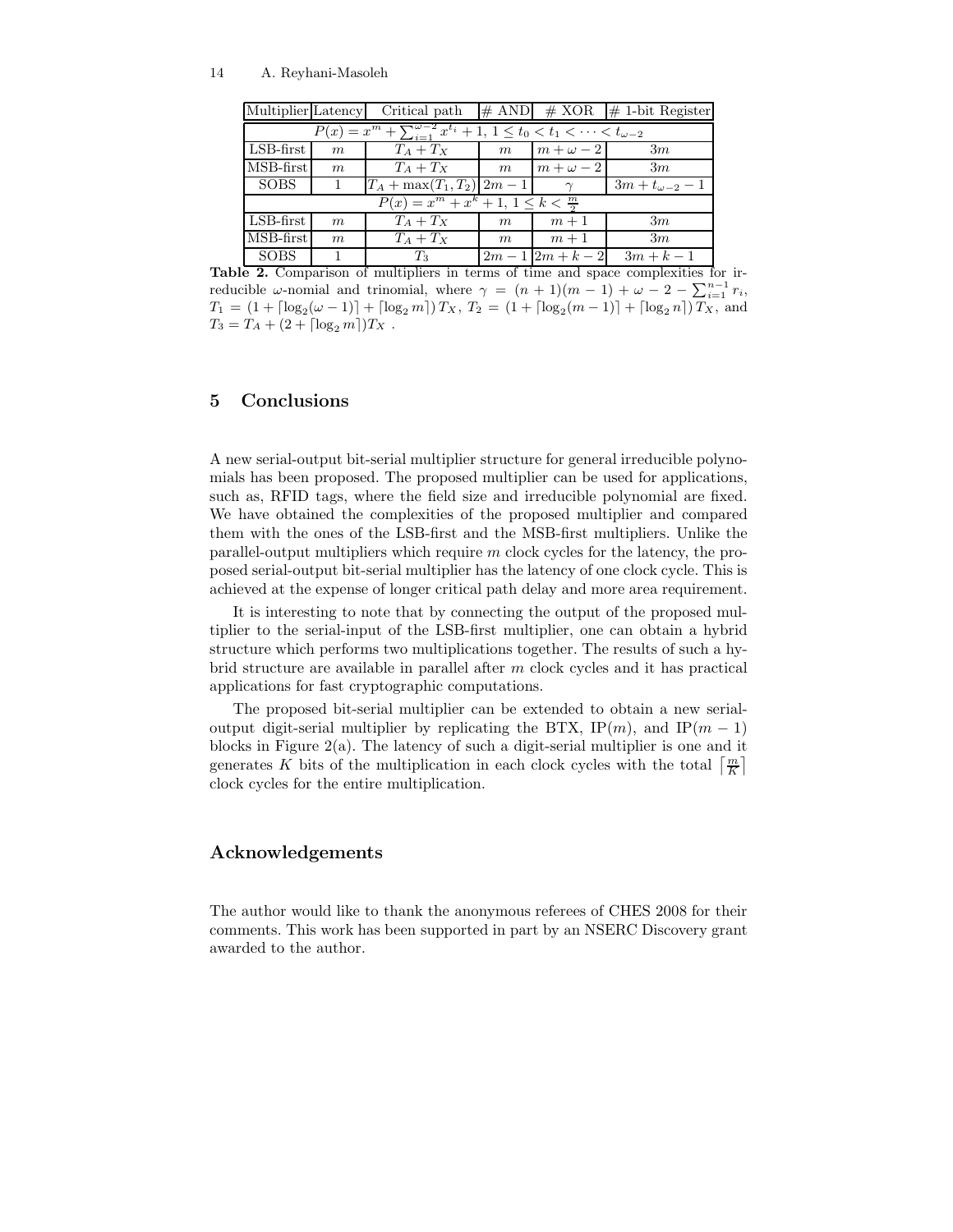| Multiplier Latency                                                                        |                  | Critical path                   |   |                 | $\#$ AND $\#$ XOR $\#$ 1-bit Register |  |  |  |  |  |
|-------------------------------------------------------------------------------------------|------------------|---------------------------------|---|-----------------|---------------------------------------|--|--|--|--|--|
| $P(x) = x^m + \sum_{i=1}^{\omega-2} x^{t_i} + 1, 1 \le t_0 < t_1 < \cdots < t_{\omega-2}$ |                  |                                 |   |                 |                                       |  |  |  |  |  |
| $LSB-first$                                                                               | $\boldsymbol{m}$ | $T_A+T_X$                       | m | $m+\omega-2$    | 3m                                    |  |  |  |  |  |
| $\overline{\text{MSB}}$ -first                                                            | $\boldsymbol{m}$ | $T_A+T_X$                       | m | $m+\omega-2$    | 3m                                    |  |  |  |  |  |
| l SOBS                                                                                    |                  | $T_A + \max(T_1, T_2)   2m - 1$ |   | $\gamma$        | $3m + t_{\omega-2} - 1$               |  |  |  |  |  |
| $P(x) = x^m + x^k + 1, \ 1 \leq k < \frac{m}{2}$                                          |                  |                                 |   |                 |                                       |  |  |  |  |  |
| LSB-first                                                                                 | $\boldsymbol{m}$ | $T_A+T_X$                       | m | $m+1$           | 3m                                    |  |  |  |  |  |
| MSB-first                                                                                 | $\boldsymbol{m}$ | $T_A+T_X$                       | m | $m+1$           | 3m                                    |  |  |  |  |  |
| l SOBS                                                                                    |                  | $T_3$                           |   | $2m-1$ $2m+k-2$ | $3m + k - 1$                          |  |  |  |  |  |

Table 2. Comparison of multipliers in terms of time and space complexities for irreducible  $\omega$ -nomial and trinomial, where  $\gamma = (n+1)(m-1) + \omega - 2 - \sum_{i=1}^{n-1} r_i$ ,  $T_1 = (1 + \lceil \log_2(\omega - 1) \rceil + \lceil \log_2 m \rceil) T_X$ ,  $T_2 = (1 + \lceil \log_2(m - 1) \rceil + \lceil \log_2 n \rceil) T_X$ , and  $T_3 = T_A + (2 + \lceil \log_2 m \rceil)T_X$ .

# 5 Conclusions

A new serial-output bit-serial multiplier structure for general irreducible polynomials has been proposed. The proposed multiplier can be used for applications, such as, RFID tags, where the field size and irreducible polynomial are fixed. We have obtained the complexities of the proposed multiplier and compared them with the ones of the LSB-first and the MSB-first multipliers. Unlike the parallel-output multipliers which require  $m$  clock cycles for the latency, the proposed serial-output bit-serial multiplier has the latency of one clock cycle. This is achieved at the expense of longer critical path delay and more area requirement.

It is interesting to note that by connecting the output of the proposed multiplier to the serial-input of the LSB-first multiplier, one can obtain a hybrid structure which performs two multiplications together. The results of such a hybrid structure are available in parallel after m clock cycles and it has practical applications for fast cryptographic computations.

The proposed bit-serial multiplier can be extended to obtain a new serialoutput digit-serial multiplier by replicating the BTX, IP $(m)$ , and IP $(m - 1)$ blocks in Figure 2(a). The latency of such a digit-serial multiplier is one and it generates K bits of the multiplication in each clock cycles with the total  $\left\lceil \frac{m}{K} \right\rceil$ clock cycles for the entire multiplication.

### Acknowledgements

The author would like to thank the anonymous referees of CHES 2008 for their comments. This work has been supported in part by an NSERC Discovery grant awarded to the author.